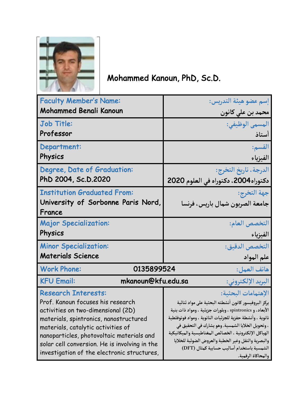

Mohammed Kanoun, PhD, Sc.D.

| <b>Faculty Member's Name:</b>                                 | إسم عضو هيئة التدريس:                                                                                         |
|---------------------------------------------------------------|---------------------------------------------------------------------------------------------------------------|
| <b>Mohammed Benali Kanoun</b>                                 | محمد بن على كانون                                                                                             |
| Job Title:                                                    | المسمى الوظيفي:                                                                                               |
| Professor                                                     | أستاذ                                                                                                         |
| Department:                                                   | القسم:                                                                                                        |
| Physics                                                       | الفيزياء                                                                                                      |
| Degree, Date of Graduation:                                   | الدرجة ، تاريخ التخرج:                                                                                        |
| PhD 2004, Sc.D.2020                                           | دكتوراه2004، دكتوراه في العلوم 2020                                                                           |
| <b>Institution Graduated From:</b>                            | جهة التخرج:                                                                                                   |
| University of Sorbonne Paris Nord,                            | جامعة الصربون شمال باريس، فرنسا                                                                               |
| France                                                        |                                                                                                               |
| <b>Major Specialization:</b>                                  | التخصص العام:                                                                                                 |
| Physics                                                       | الفيزياء                                                                                                      |
| <b>Minor Specialization:</b>                                  | التخصص الدقيق:                                                                                                |
| <b>Materials Science</b>                                      | علم المواد                                                                                                    |
| هاتف العمل:<br><b>Work Phone:</b><br>0135899524               |                                                                                                               |
| mkanoun@kfu.edu.sa<br>البريد الإلكتروني:<br><b>KFU Email:</b> |                                                                                                               |
| <b>Research Interests:</b>                                    | الإهتمامات البحثية:                                                                                           |
| Prof. Kanoun focuses his research                             | يركز البروفيسور كانون أنشطته البحثية على مواد ثنائية                                                          |
| activities on two-dimensional (2D)                            | الأبعاد، و spintronics ، وبلورات جزيئية ، ومواد ذات بنية                                                      |
| materials, spintronics, nanostructured                        | نانوية ، وأنشطة حفزية للجزئيات النانوية ، ومواد فوتوفلطية                                                     |
| materials, catalytic activities of                            | ، وتحويل الخلايا الشمسية. وهو يشارك في التحقيق في                                                             |
| nanoparticles, photovoltaic materials and                     | الهياكل الإلكترونية ، الخصائص المغناطيسية والميكانيكية<br>والبصرية والنقل وغير الخطية والعروض الضوئية للخلايا |
| solar cell conversion. He is involving in the                 | الشمسية باستخدام أساليب حسابية كمثال (DFT)                                                                    |
| investigation of the electronic structures,                   | والمحاكاة الرقمية.                                                                                            |